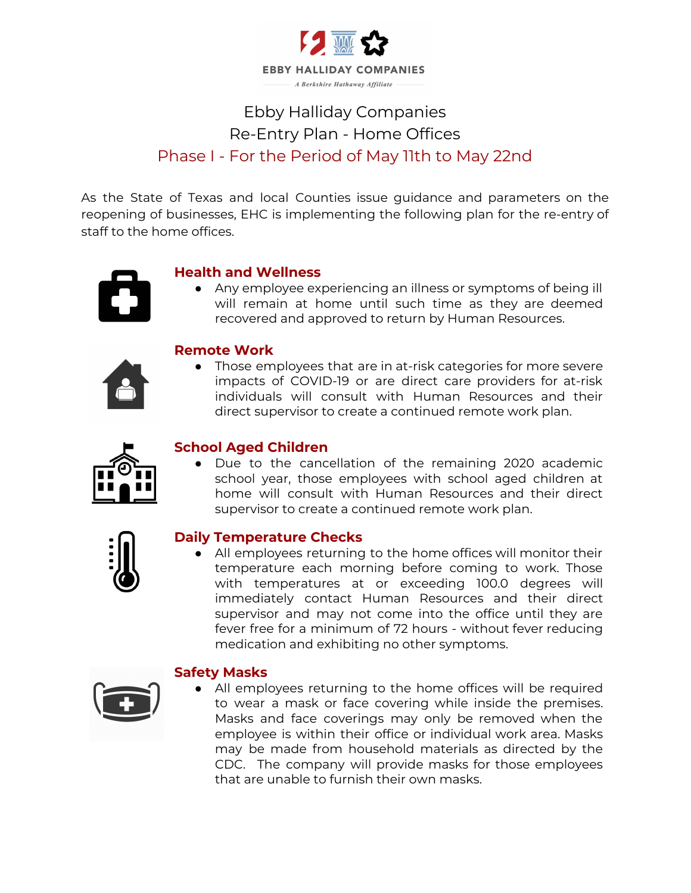

# Ebby Halliday Companies Re-Entry Plan - Home Offices Phase I - For the Period of May 11th to May 22nd

As the State of Texas and local Counties issue guidance and parameters on the reopening of businesses, EHC is implementing the following plan for the re-entry of staff to the home offices.



## **Health and Wellness**

● Any employee experiencing an illness or symptoms of being ill will remain at home until such time as they are deemed recovered and approved to return by Human Resources.



### **Remote Work**

● Those employees that are in at-risk categories for more severe impacts of COVID-19 or are direct care providers for at-risk individuals will consult with Human Resources and their direct supervisor to create a continued remote work plan.



### **School Aged Children**

● Due to the cancellation of the remaining 2020 academic school year, those employees with school aged children at home will consult with Human Resources and their direct supervisor to create a continued remote work plan.



### **Daily Temperature Checks**

● All employees returning to the home offices will monitor their temperature each morning before coming to work. Those with temperatures at or exceeding 100.0 degrees will immediately contact Human Resources and their direct supervisor and may not come into the office until they are fever free for a minimum of 72 hours - without fever reducing medication and exhibiting no other symptoms.



### **Safety Masks**

● All employees returning to the home offices will be required to wear a mask or face covering while inside the premises. Masks and face coverings may only be removed when the employee is within their office or individual work area. Masks may be made from household materials as directed by the CDC. The company will provide masks for those employees that are unable to furnish their own masks.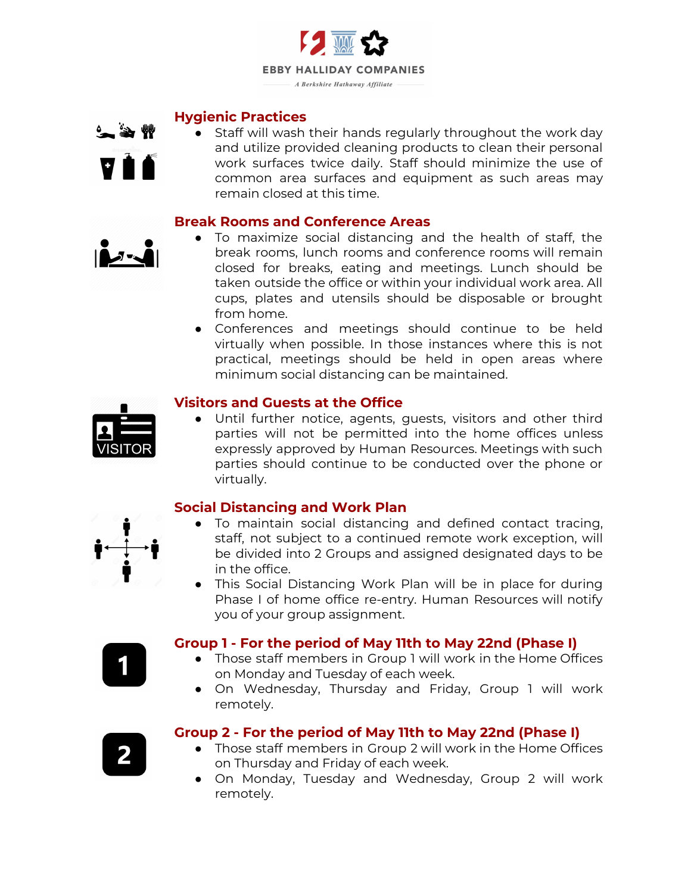

#### **Hygienic Practices**



● Staff will wash their hands regularly throughout the work day and utilize provided cleaning products to clean their personal work surfaces twice daily. Staff should minimize the use of common area surfaces and equipment as such areas may remain closed at this time.

#### **Break Rooms and Conference Areas**



- To maximize social distancing and the health of staff, the break rooms, lunch rooms and conference rooms will remain closed for breaks, eating and meetings. Lunch should be taken outside the office or within your individual work area. All cups, plates and utensils should be disposable or brought from home.
- Conferences and meetings should continue to be held virtually when possible. In those instances where this is not practical, meetings should be held in open areas where minimum social distancing can be maintained.



### **Visitors and Guests at the Office**

● Until further notice, agents, guests, visitors and other third parties will not be permitted into the home offices unless expressly approved by Human Resources. Meetings with such parties should continue to be conducted over the phone or virtually.

### **Social Distancing and Work Plan**

- To maintain social distancing and defined contact tracing, staff, not subject to a continued remote work exception, will be divided into 2 Groups and assigned designated days to be in the office.
- This Social Distancing Work Plan will be in place for during Phase I of home office re-entry. Human Resources will notify you of your group assignment.

#### **Group 1 - For the period of May 11th to May 22nd (Phase I)**

- Those staff members in Group 1 will work in the Home Offices on Monday and Tuesday of each week.
- On Wednesday, Thursday and Friday, Group 1 will work remotely.

- **Group 2 - For the period of May 11th to May 22nd (Phase I)**
	- Those staff members in Group 2 will work in the Home Offices on Thursday and Friday of each week.
	- On Monday, Tuesday and Wednesday, Group 2 will work remotely.